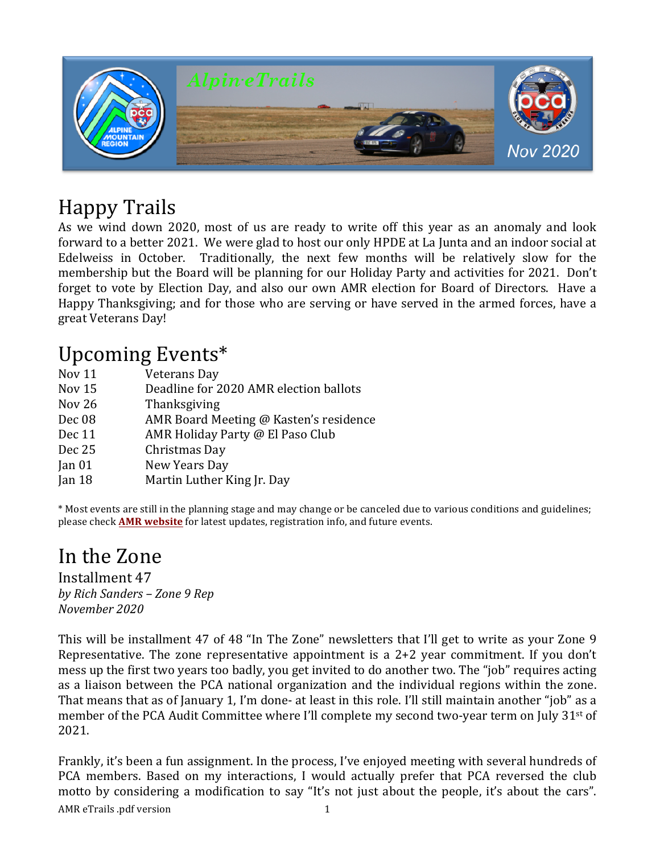

# Happy Trails

As we wind down 2020, most of us are ready to write off this year as an anomaly and look forward to a better 2021. We were glad to host our only HPDE at La Junta and an indoor social at Edelweiss in October. Traditionally, the next few months will be relatively slow for the membership but the Board will be planning for our Holiday Party and activities for 2021. Don't forget to vote by Election Day, and also our own AMR election for Board of Directors. Have a Happy Thanksgiving; and for those who are serving or have served in the armed forces, have a great Veterans Day!

## Upcoming Events\*

| Veterans Day                           |
|----------------------------------------|
| Deadline for 2020 AMR election ballots |
| Thanksgiving                           |
| AMR Board Meeting @ Kasten's residence |
| AMR Holiday Party @ El Paso Club       |
| Christmas Day                          |
| New Years Day                          |
| Martin Luther King Jr. Day             |
|                                        |

\* Most events are still in the planning stage and may change or be canceled due to various conditions and guidelines; please check **AMR website** for latest updates, registration info, and future events.

## In the Zone

Installment 47 *by Rich Sanders – Zone 9 Rep November 2020*

This will be installment 47 of 48 "In The Zone" newsletters that I'll get to write as your Zone 9 Representative. The zone representative appointment is a  $2+2$  year commitment. If you don't mess up the first two years too badly, you get invited to do another two. The "job" requires acting as a liaison between the PCA national organization and the individual regions within the zone. That means that as of January 1, I'm done- at least in this role. I'll still maintain another "job" as a member of the PCA Audit Committee where I'll complete my second two-year term on July 31<sup>st</sup> of 2021.

AMR eTrails .pdf version 1 Frankly, it's been a fun assignment. In the process, I've enjoyed meeting with several hundreds of PCA members. Based on my interactions, I would actually prefer that PCA reversed the club motto by considering a modification to say "It's not just about the people, it's about the cars".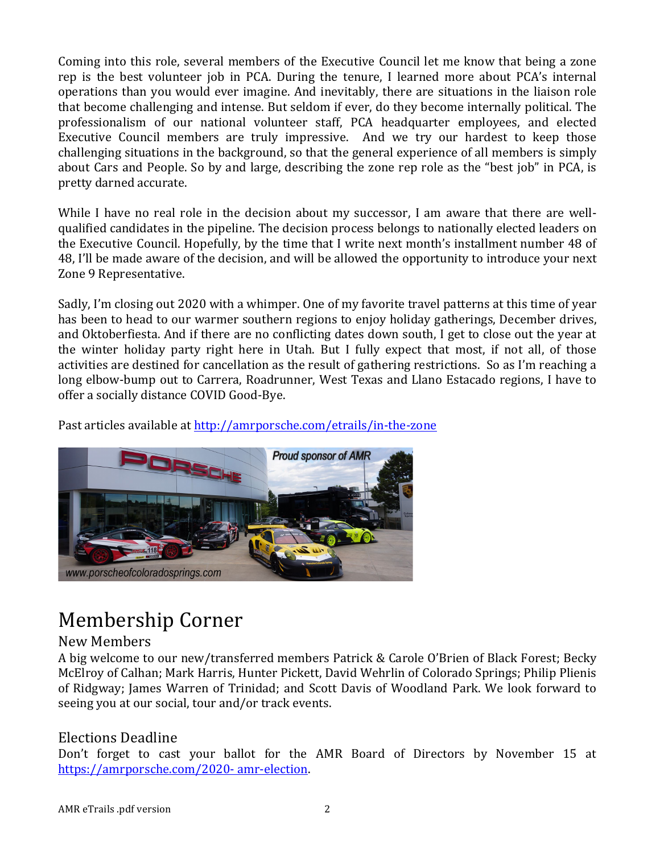Coming into this role, several members of the Executive Council let me know that being a zone rep is the best volunteer job in PCA. During the tenure, I learned more about PCA's internal operations than you would ever imagine. And inevitably, there are situations in the liaison role that become challenging and intense. But seldom if ever, do they become internally political. The professionalism of our national volunteer staff, PCA headquarter employees, and elected Executive Council members are truly impressive. And we try our hardest to keep those challenging situations in the background, so that the general experience of all members is simply about Cars and People. So by and large, describing the zone rep role as the "best job" in PCA, is pretty darned accurate.

While I have no real role in the decision about my successor, I am aware that there are wellqualified candidates in the pipeline. The decision process belongs to nationally elected leaders on the Executive Council. Hopefully, by the time that I write next month's installment number 48 of 48, I'll be made aware of the decision, and will be allowed the opportunity to introduce your next Zone 9 Representative.

Sadly, I'm closing out 2020 with a whimper. One of my favorite travel patterns at this time of year has been to head to our warmer southern regions to enjoy holiday gatherings, December drives, and Oktoberfiesta. And if there are no conflicting dates down south, I get to close out the year at the winter holiday party right here in Utah. But I fully expect that most, if not all, of those activities are destined for cancellation as the result of gathering restrictions. So as I'm reaching a long elbow-bump out to Carrera, Roadrunner, West Texas and Llano Estacado regions, I have to offer a socially distance COVID Good-Bye.

Past articles available at http://amrporsche.com/etrails/in-the-zone



# Membership Corner

#### New Members

A big welcome to our new/transferred members Patrick & Carole O'Brien of Black Forest; Becky McElroy of Calhan; Mark Harris, Hunter Pickett, David Wehrlin of Colorado Springs; Philip Plienis of Ridgway; James Warren of Trinidad; and Scott Davis of Woodland Park. We look forward to seeing you at our social, tour and/or track events.

### Elections Deadline

Don't forget to cast your ballot for the AMR Board of Directors by November 15 at https://amrporsche.com/2020- amr-election.